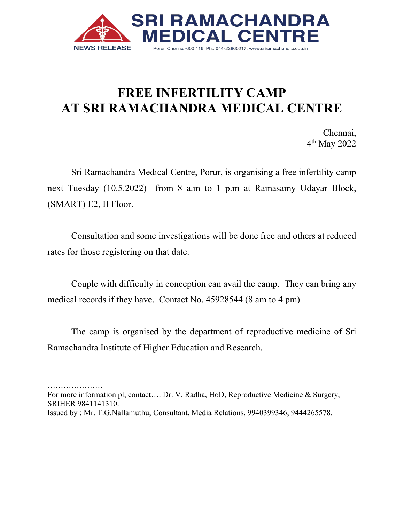

## **FREE INFERTILITY CAMP AT SRI RAMACHANDRA MEDICAL CENTRE**

Chennai, 4 th May 2022

Sri Ramachandra Medical Centre, Porur, is organising a free infertility camp next Tuesday (10.5.2022) from 8 a.m to 1 p.m at Ramasamy Udayar Block, (SMART) E2, II Floor.

Consultation and some investigations will be done free and others at reduced rates for those registering on that date.

Couple with difficulty in conception can avail the camp. They can bring any medical records if they have. Contact No. 45928544 (8 am to 4 pm)

The camp is organised by the department of reproductive medicine of Sri Ramachandra Institute of Higher Education and Research.

………………… For more information pl, contact.... Dr. V. Radha, HoD, Reproductive Medicine & Surgery, SRIHER 9841141310. Issued by : Mr. T.G.Nallamuthu, Consultant, Media Relations, 9940399346, 9444265578.